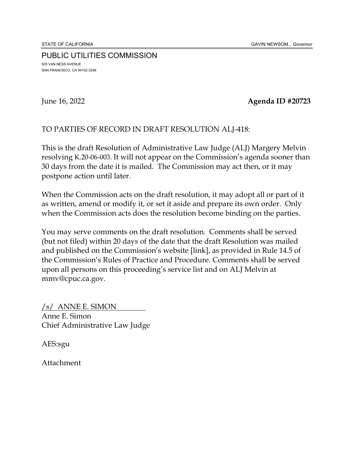PUBLIC UTILITIES COMMISSION 505 VAN NESS AVENUE SAN FRANCISCO, CA 94102-3298

June 16, 2022 **Agenda ID #20723**

#### TO PARTIES OF RECORD IN DRAFT RESOLUTION ALJ-418:

This is the draft Resolution of Administrative Law Judge (ALJ) Margery Melvin resolving K.20-06-003. It will not appear on the Commission's agenda sooner than 30 days from the date it is mailed. The Commission may act then, or it may postpone action until later.

When the Commission acts on the draft resolution, it may adopt all or part of it as written, amend or modify it, or set it aside and prepare its own order. Only when the Commission acts does the resolution become binding on the parties.

You may serve comments on the draft resolution. Comments shall be served (but not filed) within 20 days of the date that the draft Resolution was mailed and published on the Commission's website [link], as provided in Rule 14.5 of the Commission's Rules of Practice and Procedure. Comments shall be served upon all persons on this proceeding's service list and on ALJ Melvin at mmv@cpuc.ca.gov.

/s/ ANNE E. SIMON Anne E. Simon Chief Administrative Law Judge

AES:sgu

Attachment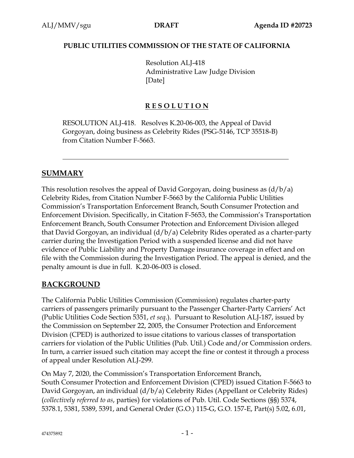#### **PUBLIC UTILITIES COMMISSION OF THE STATE OF CALIFORNIA**

Resolution ALJ-418 Administrative Law Judge Division [Date]

## **R E S O L U T I O N**

RESOLUTION ALJ-418. Resolves K.20-06-003, the Appeal of David Gorgoyan, doing business as Celebrity Rides (PSG-5146, TCP 35518-B) from Citation Number F-5663.

#### **SUMMARY**

This resolution resolves the appeal of David Gorgoyan, doing business as  $(d/b/a)$ Celebrity Rides, from Citation Number F-5663 by the California Public Utilities Commission's Transportation Enforcement Branch, South Consumer Protection and Enforcement Division. Specifically, in Citation F-5653, the Commission's Transportation Enforcement Branch, South Consumer Protection and Enforcement Division alleged that David Gorgoyan, an individual (d/b/a) Celebrity Rides operated as a charter-party carrier during the Investigation Period with a suspended license and did not have evidence of Public Liability and Property Damage insurance coverage in effect and on file with the Commission during the Investigation Period. The appeal is denied, and the penalty amount is due in full. K.20-06-003 is closed.

## **BACKGROUND**

The California Public Utilities Commission (Commission) regulates charter-party carriers of passengers primarily pursuant to the Passenger Charter-Party Carriers' Act (Public Utilities Code Section 5351, *et seq*.). Pursuant to Resolution ALJ-187, issued by the Commission on September 22, 2005, the Consumer Protection and Enforcement Division (CPED) is authorized to issue citations to various classes of transportation carriers for violation of the Public Utilities (Pub. Util.) Code and/or Commission orders. In turn, a carrier issued such citation may accept the fine or contest it through a process of appeal under Resolution ALJ-299.

On May 7, 2020, the Commission's Transportation Enforcement Branch, South Consumer Protection and Enforcement Division (CPED) issued Citation F-5663 to David Gorgoyan, an individual (d/b/a) Celebrity Rides (Appellant or Celebrity Rides) (*collectively referred to as*, parties) for violations of Pub. Util. Code Sections (§§) 5374, 5378.1, 5381, 5389, 5391, and General Order (G.O.) 115-G, G.O. 157-E, Part(s) 5.02, 6.01,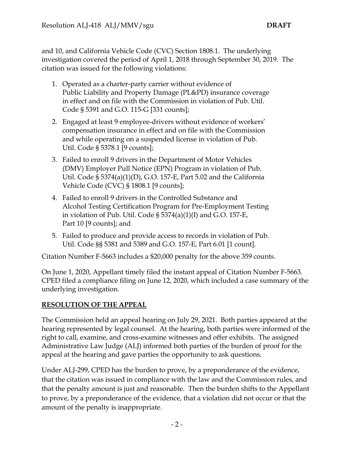and 10, and California Vehicle Code (CVC) Section 1808.1. The underlying investigation covered the period of April 1, 2018 through September 30, 2019. The citation was issued for the following violations:

- 1. Operated as a charter-party carrier without evidence of Public Liability and Property Damage (PL&PD) insurance coverage in effect and on file with the Commission in violation of Pub. Util. Code § 5391 and G.O. 115-G [331 counts];
- 2. Engaged at least 9 employee-drivers without evidence of workers' compensation insurance in effect and on file with the Commission and while operating on a suspended license in violation of Pub. Util. Code § 5378.1 [9 counts];
- 3. Failed to enroll 9 drivers in the Department of Motor Vehicles (DMV) Employer Pull Notice (EPN) Program in violation of Pub. Util. Code § 5374(a)(1)(D), G.O. 157-E, Part 5.02 and the California Vehicle Code (CVC) § 1808.1 [9 counts];
- 4. Failed to enroll 9 drivers in the Controlled Substance and Alcohol Testing Certification Program for Pre-Employment Testing in violation of Pub. Util. Code § 5374(a)(1)(I) and G.O. 157-E, Part 10 [9 counts]; and
- 5. Failed to produce and provide access to records in violation of Pub. Util. Code §§ 5381 and 5389 and G.O. 157-E, Part 6.01 [1 count].

Citation Number F-5663 includes a \$20,000 penalty for the above 359 counts.

On June 1, 2020, Appellant timely filed the instant appeal of Citation Number F-5663. CPED filed a compliance filing on June 12, 2020, which included a case summary of the underlying investigation.

## **RESOLUTION OF THE APPEAL**

The Commission held an appeal hearing on July 29, 2021. Both parties appeared at the hearing represented by legal counsel. At the hearing, both parties were informed of the right to call, examine, and cross-examine witnesses and offer exhibits. The assigned Administrative Law Judge (ALJ) informed both parties of the burden of proof for the appeal at the hearing and gave parties the opportunity to ask questions.

Under ALJ-299, CPED has the burden to prove, by a preponderance of the evidence, that the citation was issued in compliance with the law and the Commission rules, and that the penalty amount is just and reasonable. Then the burden shifts to the Appellant to prove, by a preponderance of the evidence, that a violation did not occur or that the amount of the penalty is inappropriate.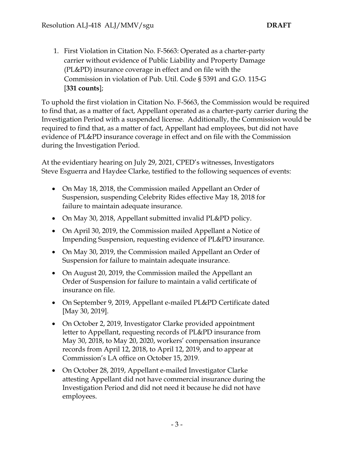1. First Violation in Citation No. F-5663: Operated as a charter-party carrier without evidence of Public Liability and Property Damage (PL&PD) insurance coverage in effect and on file with the Commission in violation of Pub. Util. Code § 5391 and G.O. 115-G [**331 counts**];

To uphold the first violation in Citation No. F-5663, the Commission would be required to find that, as a matter of fact, Appellant operated as a charter-party carrier during the Investigation Period with a suspended license. Additionally, the Commission would be required to find that, as a matter of fact, Appellant had employees, but did not have evidence of PL&PD insurance coverage in effect and on file with the Commission during the Investigation Period.

At the evidentiary hearing on July 29, 2021, CPED's witnesses, Investigators Steve Esguerra and Haydee Clarke, testified to the following sequences of events:

- On May 18, 2018, the Commission mailed Appellant an Order of Suspension, suspending Celebrity Rides effective May 18, 2018 for failure to maintain adequate insurance.
- On May 30, 2018, Appellant submitted invalid PL&PD policy.
- On April 30, 2019, the Commission mailed Appellant a Notice of Impending Suspension, requesting evidence of PL&PD insurance.
- On May 30, 2019, the Commission mailed Appellant an Order of Suspension for failure to maintain adequate insurance.
- On August 20, 2019, the Commission mailed the Appellant an Order of Suspension for failure to maintain a valid certificate of insurance on file.
- On September 9, 2019, Appellant e-mailed PL&PD Certificate dated [May 30, 2019].
- On October 2, 2019, Investigator Clarke provided appointment letter to Appellant, requesting records of PL&PD insurance from May 30, 2018, to May 20, 2020, workers' compensation insurance records from April 12, 2018, to April 12, 2019, and to appear at Commission's LA office on October 15, 2019.
- On October 28, 2019, Appellant e-mailed Investigator Clarke attesting Appellant did not have commercial insurance during the Investigation Period and did not need it because he did not have employees.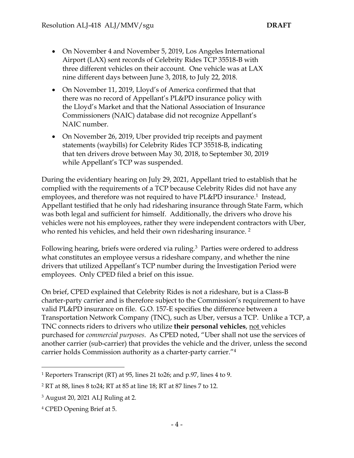- On November 4 and November 5, 2019, Los Angeles International Airport (LAX) sent records of Celebrity Rides TCP 35518-B with three different vehicles on their account. One vehicle was at LAX nine different days between June 3, 2018, to July 22, 2018.
- On November 11, 2019, Lloyd's of America confirmed that that there was no record of Appellant's PL&PD insurance policy with the Lloyd's Market and that the National Association of Insurance Commissioners (NAIC) database did not recognize Appellant's NAIC number.
- On November 26, 2019, Uber provided trip receipts and payment statements (waybills) for Celebrity Rides TCP 35518-B, indicating that ten drivers drove between May 30, 2018, to September 30, 2019 while Appellant's TCP was suspended.

During the evidentiary hearing on July 29, 2021, Appellant tried to establish that he complied with the requirements of a TCP because Celebrity Rides did not have any employees, and therefore was not required to have PL&PD insurance.<sup>1</sup> Instead, Appellant testified that he only had ridesharing insurance through State Farm, which was both legal and sufficient for himself. Additionally, the drivers who drove his vehicles were not his employees, rather they were independent contractors with Uber, who rented his vehicles, and held their own ridesharing insurance.<sup>2</sup>

Following hearing, briefs were ordered via ruling.<sup>3</sup> Parties were ordered to address what constitutes an employee versus a rideshare company, and whether the nine drivers that utilized Appellant's TCP number during the Investigation Period were employees. Only CPED filed a brief on this issue.

On brief, CPED explained that Celebrity Rides is not a rideshare, but is a Class-B charter-party carrier and is therefore subject to the Commission's requirement to have valid PL&PD insurance on file. G.O. 157-E specifies the difference between a Transportation Network Company (TNC), such as Uber, versus a TCP. Unlike a TCP, a TNC connects riders to drivers who utilize **their personal vehicles**, not vehicles purchased for *commercial purposes*. As CPED noted, "Uber shall not use the services of another carrier (sub-carrier) that provides the vehicle and the driver, unless the second carrier holds Commission authority as a charter-party carrier."<sup>4</sup>

<sup>1</sup> Reporters Transcript (RT) at 95, lines 21 to26; and p.97, lines 4 to 9.

<sup>2</sup> RT at 88, lines 8 to24; RT at 85 at line 18; RT at 87 lines 7 to 12.

<sup>3</sup> August 20, 2021 ALJ Ruling at 2.

<sup>4</sup> CPED Opening Brief at 5.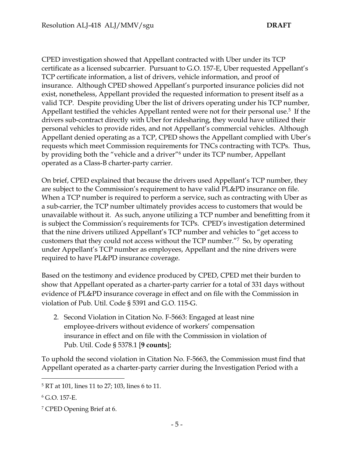CPED investigation showed that Appellant contracted with Uber under its TCP certificate as a licensed subcarrier. Pursuant to G.O. 157-E, Uber requested Appellant's TCP certificate information, a list of drivers, vehicle information, and proof of insurance. Although CPED showed Appellant's purported insurance policies did not exist, nonetheless, Appellant provided the requested information to present itself as a valid TCP. Despite providing Uber the list of drivers operating under his TCP number, Appellant testified the vehicles Appellant rented were not for their personal use.<sup>5</sup> If the drivers sub-contract directly with Uber for ridesharing, they would have utilized their personal vehicles to provide rides, and not Appellant's commercial vehicles. Although Appellant denied operating as a TCP, CPED shows the Appellant complied with Uber's requests which meet Commission requirements for TNCs contracting with TCPs. Thus, by providing both the "vehicle and a driver"<sup>6</sup> under its TCP number, Appellant operated as a Class-B charter-party carrier.

On brief, CPED explained that because the drivers used Appellant's TCP number, they are subject to the Commission's requirement to have valid PL&PD insurance on file. When a TCP number is required to perform a service, such as contracting with Uber as a sub-carrier, the TCP number ultimately provides access to customers that would be unavailable without it. As such, anyone utilizing a TCP number and benefitting from it is subject the Commission's requirements for TCPs. CPED's investigation determined that the nine drivers utilized Appellant's TCP number and vehicles to "get access to customers that they could not access without the TCP number."<sup>7</sup> So, by operating under Appellant's TCP number as employees, Appellant and the nine drivers were required to have PL&PD insurance coverage.

Based on the testimony and evidence produced by CPED, CPED met their burden to show that Appellant operated as a charter-party carrier for a total of 331 days without evidence of PL&PD insurance coverage in effect and on file with the Commission in violation of Pub. Util. Code § 5391 and G.O. 115-G.

2. Second Violation in Citation No. F-5663: Engaged at least nine employee-drivers without evidence of workers' compensation insurance in effect and on file with the Commission in violation of Pub. Util. Code § 5378.1 [**9 counts**];

To uphold the second violation in Citation No. F-5663, the Commission must find that Appellant operated as a charter-party carrier during the Investigation Period with a

<sup>5</sup> RT at 101, lines 11 to 27; 103, lines 6 to 11.

<sup>6</sup> G.O. 157-E.

<sup>7</sup> CPED Opening Brief at 6.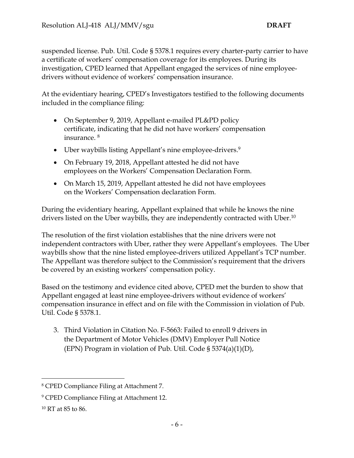suspended license. Pub. Util. Code § 5378.1 requires every charter-party carrier to have a certificate of workers' compensation coverage for its employees. During its investigation, CPED learned that Appellant engaged the services of nine employeedrivers without evidence of workers' compensation insurance.

At the evidentiary hearing, CPED's Investigators testified to the following documents included in the compliance filing:

- On September 9, 2019, Appellant e-mailed PL&PD policy certificate, indicating that he did not have workers' compensation insurance. <sup>8</sup>
- Uber way bills listing Appellant's nine employee-drivers.<sup>9</sup>
- On February 19, 2018, Appellant attested he did not have employees on the Workers' Compensation Declaration Form.
- On March 15, 2019, Appellant attested he did not have employees on the Workers' Compensation declaration Form.

During the evidentiary hearing, Appellant explained that while he knows the nine drivers listed on the Uber waybills, they are independently contracted with Uber.<sup>10</sup>

The resolution of the first violation establishes that the nine drivers were not independent contractors with Uber, rather they were Appellant's employees. The Uber waybills show that the nine listed employee-drivers utilized Appellant's TCP number. The Appellant was therefore subject to the Commission's requirement that the drivers be covered by an existing workers' compensation policy.

Based on the testimony and evidence cited above, CPED met the burden to show that Appellant engaged at least nine employee-drivers without evidence of workers' compensation insurance in effect and on file with the Commission in violation of Pub. Util. Code § 5378.1.

3. Third Violation in Citation No. F-5663: Failed to enroll 9 drivers in the Department of Motor Vehicles (DMV) Employer Pull Notice (EPN) Program in violation of Pub. Util. Code § 5374(a)(1)(D),

<sup>8</sup> CPED Compliance Filing at Attachment 7.

<sup>&</sup>lt;sup>9</sup> CPED Compliance Filing at Attachment 12.

<sup>10</sup> RT at 85 to 86.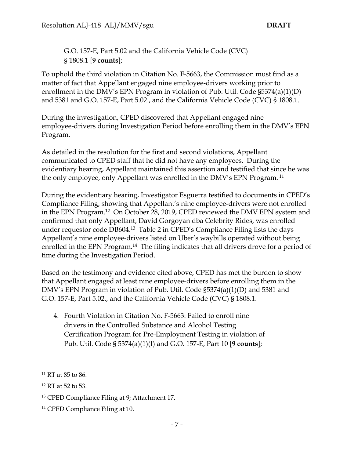G.O. 157-E, Part 5.02 and the California Vehicle Code (CVC) § 1808.1 [**9 counts**];

To uphold the third violation in Citation No. F-5663, the Commission must find as a matter of fact that Appellant engaged nine employee-drivers working prior to enrollment in the DMV's EPN Program in violation of Pub. Util. Code §5374(a)(1)(D) and 5381 and G.O. 157-E, Part 5.02., and the California Vehicle Code (CVC) § 1808.1.

During the investigation, CPED discovered that Appellant engaged nine employee-drivers during Investigation Period before enrolling them in the DMV's EPN Program.

As detailed in the resolution for the first and second violations, Appellant communicated to CPED staff that he did not have any employees. During the evidentiary hearing, Appellant maintained this assertion and testified that since he was the only employee, only Appellant was enrolled in the DMV's EPN Program. <sup>11</sup>

During the evidentiary hearing, Investigator Esguerra testified to documents in CPED's Compliance Filing, showing that Appellant's nine employee-drivers were not enrolled in the EPN Program.<sup>12</sup> On October 28, 2019, CPED reviewed the DMV EPN system and confirmed that only Appellant, David Gorgoyan dba Celebrity Rides, was enrolled under requestor code DB604.<sup>13</sup> Table 2 in CPED's Compliance Filing lists the days Appellant's nine employee-drivers listed on Uber's waybills operated without being enrolled in the EPN Program.<sup>14</sup> The filing indicates that all drivers drove for a period of time during the Investigation Period.

Based on the testimony and evidence cited above, CPED has met the burden to show that Appellant engaged at least nine employee-drivers before enrolling them in the DMV's EPN Program in violation of Pub. Util. Code §5374(a)(1)(D) and 5381 and G.O. 157-E, Part 5.02., and the California Vehicle Code (CVC) § 1808.1.

4. Fourth Violation in Citation No. F-5663: Failed to enroll nine drivers in the Controlled Substance and Alcohol Testing Certification Program for Pre-Employment Testing in violation of Pub. Util. Code § 5374(a)(1)(I) and G.O. 157-E, Part 10 [**9 counts**];

 $11$  RT at 85 to 86.

<sup>12</sup> RT at 52 to 53.

<sup>&</sup>lt;sup>13</sup> CPED Compliance Filing at 9; Attachment 17.

<sup>14</sup> CPED Compliance Filing at 10.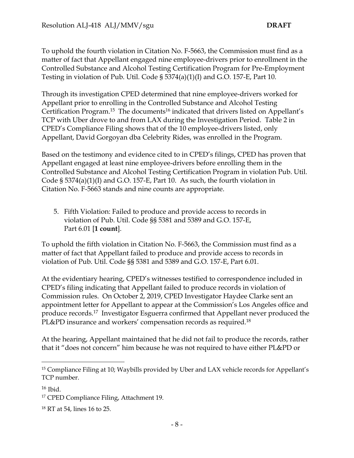To uphold the fourth violation in Citation No. F-5663, the Commission must find as a matter of fact that Appellant engaged nine employee-drivers prior to enrollment in the Controlled Substance and Alcohol Testing Certification Program for Pre-Employment Testing in violation of Pub. Util. Code § 5374(a)(1)(I) and G.O. 157-E, Part 10.

Through its investigation CPED determined that nine employee-drivers worked for Appellant prior to enrolling in the Controlled Substance and Alcohol Testing Certification Program.<sup>15</sup> The documents<sup>16</sup> indicated that drivers listed on Appellant's TCP with Uber drove to and from LAX during the Investigation Period. Table 2 in CPED's Compliance Filing shows that of the 10 employee-drivers listed, only Appellant, David Gorgoyan dba Celebrity Rides, was enrolled in the Program.

Based on the testimony and evidence cited to in CPED's filings, CPED has proven that Appellant engaged at least nine employee-drivers before enrolling them in the Controlled Substance and Alcohol Testing Certification Program in violation Pub. Util. Code §  $5374(a)(1)(I)$  and G.O. 157-E, Part 10. As such, the fourth violation in Citation No. F-5663 stands and nine counts are appropriate.

5. Fifth Violation: Failed to produce and provide access to records in violation of Pub. Util. Code §§ 5381 and 5389 and G.O. 157-E, Part 6.01 [**1 count**].

To uphold the fifth violation in Citation No. F-5663, the Commission must find as a matter of fact that Appellant failed to produce and provide access to records in violation of Pub. Util. Code §§ 5381 and 5389 and G.O. 157-E, Part 6.01.

At the evidentiary hearing, CPED's witnesses testified to correspondence included in CPED's filing indicating that Appellant failed to produce records in violation of Commission rules. On October 2, 2019, CPED Investigator Haydee Clarke sent an appointment letter for Appellant to appear at the Commission's Los Angeles office and produce records.<sup>17</sup> Investigator Esguerra confirmed that Appellant never produced the PL&PD insurance and workers' compensation records as required.<sup>18</sup>

At the hearing, Appellant maintained that he did not fail to produce the records, rather that it "does not concern" him because he was not required to have either PL&PD or

<sup>&</sup>lt;sup>15</sup> Compliance Filing at 10; Waybills provided by Uber and LAX vehicle records for Appellant's TCP number.

 $16$  Ibid.

<sup>17</sup> CPED Compliance Filing, Attachment 19.

<sup>18</sup> RT at 54, lines 16 to 25.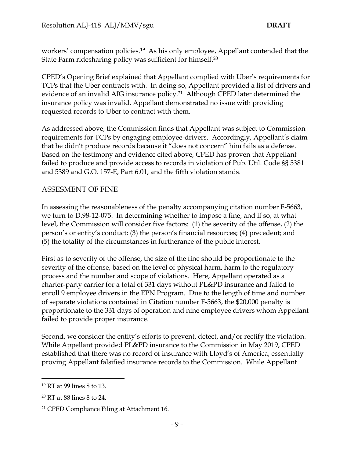workers' compensation policies.<sup>19</sup> As his only employee, Appellant contended that the State Farm ridesharing policy was sufficient for himself.<sup>20</sup>

CPED's Opening Brief explained that Appellant complied with Uber's requirements for TCPs that the Uber contracts with. In doing so, Appellant provided a list of drivers and evidence of an invalid AIG insurance policy.<sup>21</sup> Although CPED later determined the insurance policy was invalid, Appellant demonstrated no issue with providing requested records to Uber to contract with them.

As addressed above, the Commission finds that Appellant was subject to Commission requirements for TCPs by engaging employee-drivers. Accordingly, Appellant's claim that he didn't produce records because it "does not concern" him fails as a defense. Based on the testimony and evidence cited above, CPED has proven that Appellant failed to produce and provide access to records in violation of Pub. Util. Code §§ 5381 and 5389 and G.O. 157-E, Part 6.01, and the fifth violation stands.

#### ASSESMENT OF FINE

In assessing the reasonableness of the penalty accompanying citation number F-5663, we turn to D.98-12-075. In determining whether to impose a fine, and if so, at what level, the Commission will consider five factors: (1) the severity of the offense, (2) the person's or entity's conduct; (3) the person's financial resources; (4) precedent; and (5) the totality of the circumstances in furtherance of the public interest.

First as to severity of the offense, the size of the fine should be proportionate to the severity of the offense, based on the level of physical harm, harm to the regulatory process and the number and scope of violations. Here, Appellant operated as a charter-party carrier for a total of 331 days without PL&PD insurance and failed to enroll 9 employee drivers in the EPN Program. Due to the length of time and number of separate violations contained in Citation number F-5663, the \$20,000 penalty is proportionate to the 331 days of operation and nine employee drivers whom Appellant failed to provide proper insurance.

Second, we consider the entity's efforts to prevent, detect, and/or rectify the violation. While Appellant provided PL&PD insurance to the Commission in May 2019, CPED established that there was no record of insurance with Lloyd's of America, essentially proving Appellant falsified insurance records to the Commission. While Appellant

<sup>19</sup> RT at 99 lines 8 to 13.

<sup>20</sup> RT at 88 lines 8 to 24.

<sup>21</sup> CPED Compliance Filing at Attachment 16.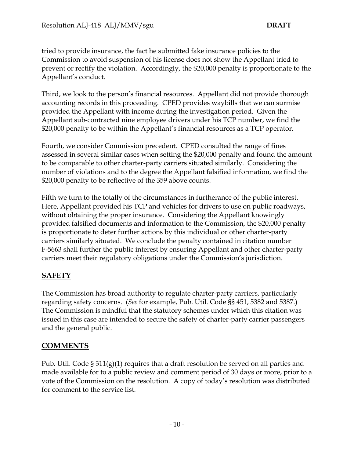tried to provide insurance, the fact he submitted fake insurance policies to the Commission to avoid suspension of his license does not show the Appellant tried to prevent or rectify the violation. Accordingly, the \$20,000 penalty is proportionate to the Appellant's conduct.

Third, we look to the person's financial resources. Appellant did not provide thorough accounting records in this proceeding. CPED provides waybills that we can surmise provided the Appellant with income during the investigation period. Given the Appellant sub-contracted nine employee drivers under his TCP number, we find the \$20,000 penalty to be within the Appellant's financial resources as a TCP operator.

Fourth, we consider Commission precedent. CPED consulted the range of fines assessed in several similar cases when setting the \$20,000 penalty and found the amount to be comparable to other charter-party carriers situated similarly. Considering the number of violations and to the degree the Appellant falsified information, we find the \$20,000 penalty to be reflective of the 359 above counts.

Fifth we turn to the totally of the circumstances in furtherance of the public interest. Here, Appellant provided his TCP and vehicles for drivers to use on public roadways, without obtaining the proper insurance. Considering the Appellant knowingly provided falsified documents and information to the Commission, the \$20,000 penalty is proportionate to deter further actions by this individual or other charter-party carriers similarly situated. We conclude the penalty contained in citation number F-5663 shall further the public interest by ensuring Appellant and other charter-party carriers meet their regulatory obligations under the Commission's jurisdiction.

# **SAFETY**

The Commission has broad authority to regulate charter-party carriers, particularly regarding safety concerns. (*See* for example, Pub. Util. Code §§ 451, 5382 and 5387.) The Commission is mindful that the statutory schemes under which this citation was issued in this case are intended to secure the safety of charter-party carrier passengers and the general public.

# **COMMENTS**

Pub. Util. Code § 311(g)(1) requires that a draft resolution be served on all parties and made available for to a public review and comment period of 30 days or more, prior to a vote of the Commission on the resolution. A copy of today's resolution was distributed for comment to the service list.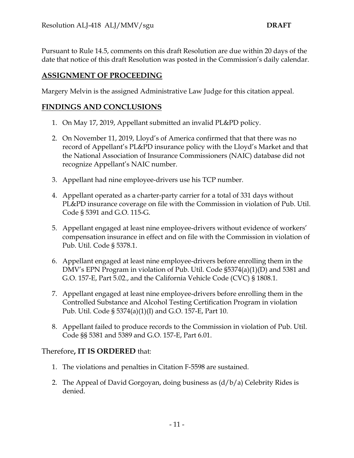Pursuant to Rule 14.5, comments on this draft Resolution are due within 20 days of the date that notice of this draft Resolution was posted in the Commission's daily calendar.

# **ASSIGNMENT OF PROCEEDING**

Margery Melvin is the assigned Administrative Law Judge for this citation appeal.

#### **FINDINGS AND CONCLUSIONS**

- 1. On May 17, 2019, Appellant submitted an invalid PL&PD policy.
- 2. On November 11, 2019, Lloyd's of America confirmed that that there was no record of Appellant's PL&PD insurance policy with the Lloyd's Market and that the National Association of Insurance Commissioners (NAIC) database did not recognize Appellant's NAIC number.
- 3. Appellant had nine employee-drivers use his TCP number.
- 4. Appellant operated as a charter-party carrier for a total of 331 days without PL&PD insurance coverage on file with the Commission in violation of Pub. Util. Code § 5391 and G.O. 115-G.
- 5. Appellant engaged at least nine employee-drivers without evidence of workers' compensation insurance in effect and on file with the Commission in violation of Pub. Util. Code § 5378.1.
- 6. Appellant engaged at least nine employee-drivers before enrolling them in the DMV's EPN Program in violation of Pub. Util. Code §5374(a)(1)(D) and 5381 and G.O. 157-E, Part 5.02., and the California Vehicle Code (CVC) § 1808.1.
- 7. Appellant engaged at least nine employee-drivers before enrolling them in the Controlled Substance and Alcohol Testing Certification Program in violation Pub. Util. Code § 5374(a)(1)(I) and G.O. 157-E, Part 10.
- 8. Appellant failed to produce records to the Commission in violation of Pub. Util. Code §§ 5381 and 5389 and G.O. 157-E, Part 6.01.

## Therefore**, IT IS ORDERED** that:

- 1. The violations and penalties in Citation F-5598 are sustained.
- 2. The Appeal of David Gorgoyan, doing business as (d/b/a) Celebrity Rides is denied.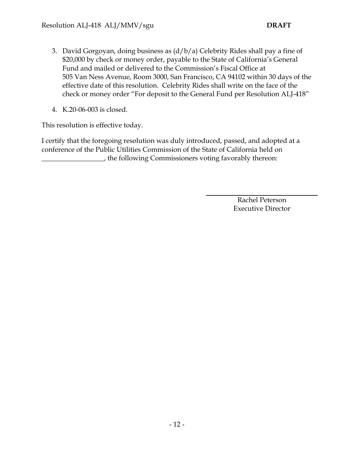- 3. David Gorgoyan, doing business as (d/b/a) Celebrity Rides shall pay a fine of \$20,000 by check or money order, payable to the State of California's General Fund and mailed or delivered to the Commission's Fiscal Office at 505 Van Ness Avenue, Room 3000, San Francisco, CA 94102 within 30 days of the effective date of this resolution. Celebrity Rides shall write on the face of the check or money order "For deposit to the General Fund per Resolution ALJ-418"
- 4. K.20-06-003 is closed.

This resolution is effective today.

I certify that the foregoing resolution was duly introduced, passed, and adopted at a conference of the Public Utilities Commission of the State of California held on \_\_\_\_\_\_\_\_\_\_\_\_\_\_\_\_\_\_, the following Commissioners voting favorably thereon:

> Rachel Peterson Executive Director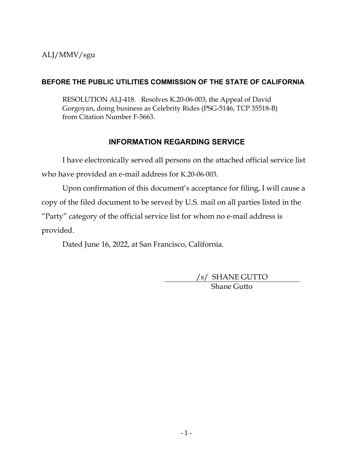## **BEFORE THE PUBLIC UTILITIES COMMISSION OF THE STATE OF CALIFORNIA**

RESOLUTION ALJ-418. Resolves K.20-06-003, the Appeal of David Gorgoyan, doing business as Celebrity Rides (PSG-5146, TCP 35518-B) from Citation Number F-5663.

# **INFORMATION REGARDING SERVICE**

I have electronically served all persons on the attached official service list who have provided an e-mail address for K.20-06-003.

Upon confirmation of this document's acceptance for filing, I will cause a copy of the filed document to be served by U.S. mail on all parties listed in the "Party" category of the official service list for whom no e-mail address is provided.

Dated June 16, 2022, at San Francisco, California.

 /s/ SHANE GUTTO Shane Gutto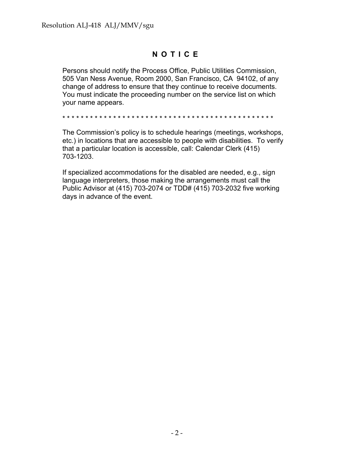# **N O T I C E**

Persons should notify the Process Office, Public Utilities Commission, 505 Van Ness Avenue, Room 2000, San Francisco, CA 94102, of any change of address to ensure that they continue to receive documents. You must indicate the proceeding number on the service list on which your name appears.

\* \* \* \* \* \* \* \* \* \* \* \* \* \* \* \* \* \* \* \* \* \* \* \* \* \* \* \* \* \* \* \* \* \* \* \* \* \* \* \* \* \* \* \* \* \*

The Commission's policy is to schedule hearings (meetings, workshops, etc.) in locations that are accessible to people with disabilities. To verify that a particular location is accessible, call: Calendar Clerk (415) 703-1203.

If specialized accommodations for the disabled are needed, e.g., sign language interpreters, those making the arrangements must call the Public Advisor at (415) 703-2074 or TDD# (415) 703-2032 five working days in advance of the event.